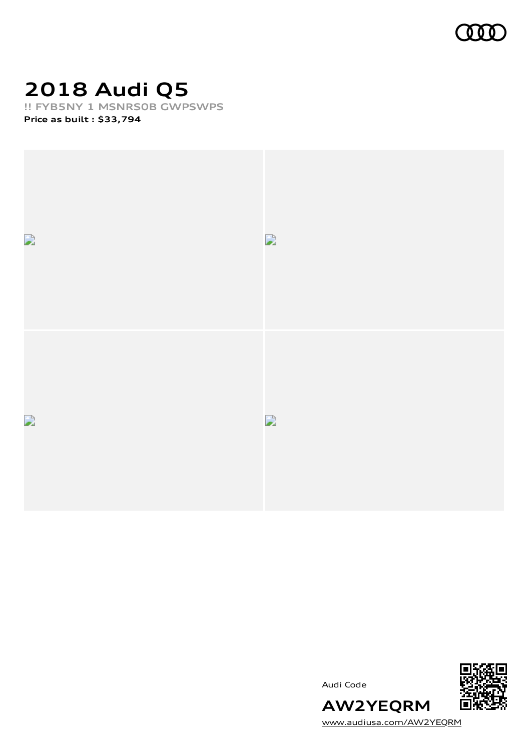

# **2018 Audi Q5**

**!! FYB5NY 1 MSNRS0B GWPSWPS**

**Price as built [:](#page-6-0) \$33,794**





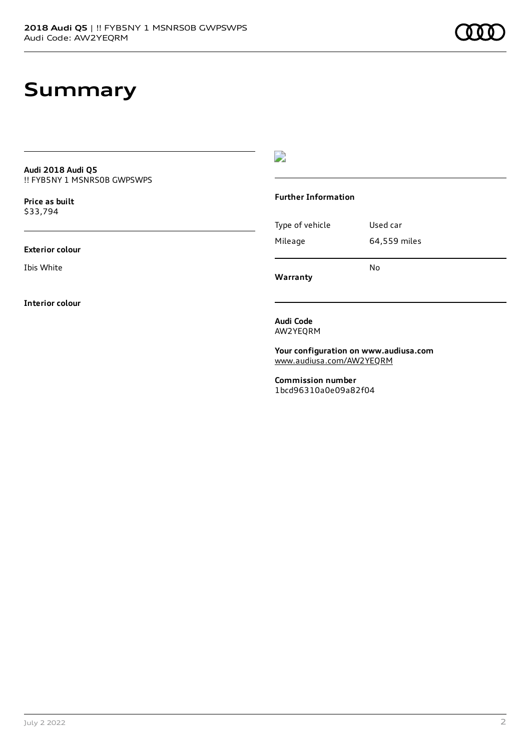#### **Summary**

**Audi 2018 Audi Q5** !! FYB5NY 1 MSNRS0B GWPSWPS

**Price as buil[t](#page-6-0)** \$33,794

**Exterior colour**

Ibis White

**Interior colour**

 $\overline{\phantom{a}}$ 

#### **Further Information**

Type of vehicle Used car Mileage 64,559 miles No

**Warranty**

**Audi Code** AW2YEQRM

**Your configuration on www.audiusa.com** [www.audiusa.com/AW2YEQRM](https://www.audiusa.com/AW2YEQRM)

**Commission number** 1bcd96310a0e09a82f04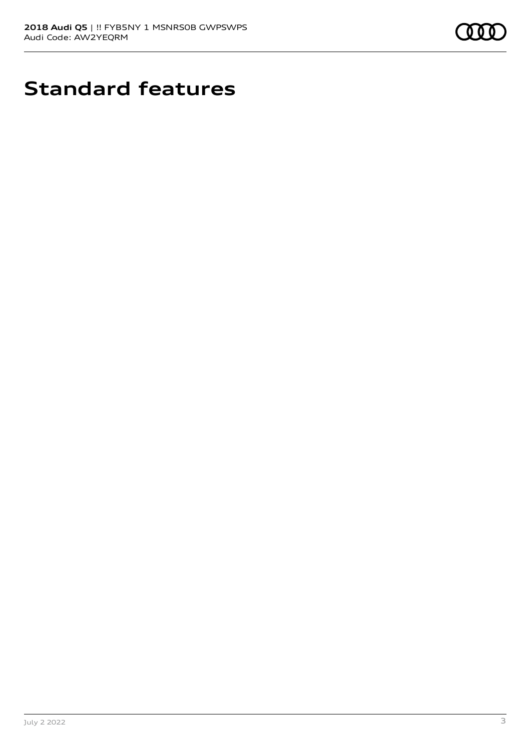

# **Standard features**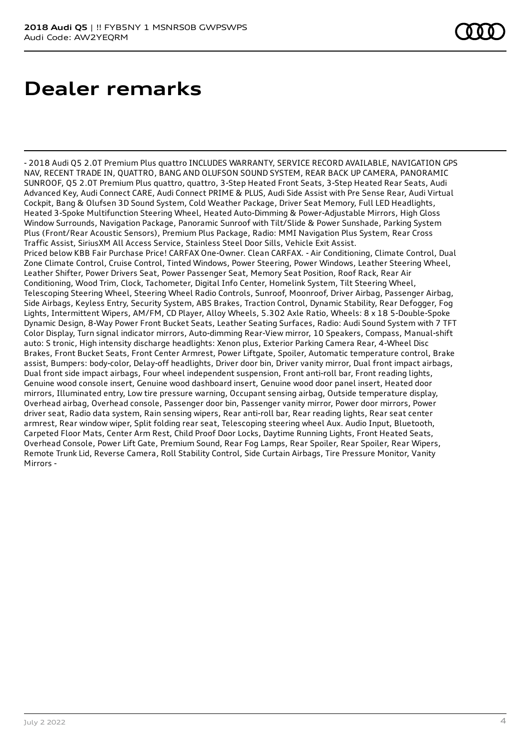## **Dealer remarks**

- 2018 Audi Q5 2.0T Premium Plus quattro INCLUDES WARRANTY, SERVICE RECORD AVAILABLE, NAVIGATION GPS NAV, RECENT TRADE IN, QUATTRO, BANG AND OLUFSON SOUND SYSTEM, REAR BACK UP CAMERA, PANORAMIC SUNROOF, Q5 2.0T Premium Plus quattro, quattro, 3-Step Heated Front Seats, 3-Step Heated Rear Seats, Audi Advanced Key, Audi Connect CARE, Audi Connect PRIME & PLUS, Audi Side Assist with Pre Sense Rear, Audi Virtual Cockpit, Bang & Olufsen 3D Sound System, Cold Weather Package, Driver Seat Memory, Full LED Headlights, Heated 3-Spoke Multifunction Steering Wheel, Heated Auto-Dimming & Power-Adjustable Mirrors, High Gloss Window Surrounds, Navigation Package, Panoramic Sunroof with Tilt/Slide & Power Sunshade, Parking System Plus (Front/Rear Acoustic Sensors), Premium Plus Package, Radio: MMI Navigation Plus System, Rear Cross Traffic Assist, SiriusXM All Access Service, Stainless Steel Door Sills, Vehicle Exit Assist. Priced below KBB Fair Purchase Price! CARFAX One-Owner. Clean CARFAX. - Air Conditioning, Climate Control, Dual Zone Climate Control, Cruise Control, Tinted Windows, Power Steering, Power Windows, Leather Steering Wheel, Leather Shifter, Power Drivers Seat, Power Passenger Seat, Memory Seat Position, Roof Rack, Rear Air Conditioning, Wood Trim, Clock, Tachometer, Digital Info Center, Homelink System, Tilt Steering Wheel, Telescoping Steering Wheel, Steering Wheel Radio Controls, Sunroof, Moonroof, Driver Airbag, Passenger Airbag, Side Airbags, Keyless Entry, Security System, ABS Brakes, Traction Control, Dynamic Stability, Rear Defogger, Fog Lights, Intermittent Wipers, AM/FM, CD Player, Alloy Wheels, 5.302 Axle Ratio, Wheels: 8 x 18 5-Double-Spoke Dynamic Design, 8-Way Power Front Bucket Seats, Leather Seating Surfaces, Radio: Audi Sound System with 7 TFT Color Display, Turn signal indicator mirrors, Auto-dimming Rear-View mirror, 10 Speakers, Compass, Manual-shift auto: S tronic, High intensity discharge headlights: Xenon plus, Exterior Parking Camera Rear, 4-Wheel Disc Brakes, Front Bucket Seats, Front Center Armrest, Power Liftgate, Spoiler, Automatic temperature control, Brake assist, Bumpers: body-color, Delay-off headlights, Driver door bin, Driver vanity mirror, Dual front impact airbags, Dual front side impact airbags, Four wheel independent suspension, Front anti-roll bar, Front reading lights, Genuine wood console insert, Genuine wood dashboard insert, Genuine wood door panel insert, Heated door mirrors, Illuminated entry, Low tire pressure warning, Occupant sensing airbag, Outside temperature display, Overhead airbag, Overhead console, Passenger door bin, Passenger vanity mirror, Power door mirrors, Power driver seat, Radio data system, Rain sensing wipers, Rear anti-roll bar, Rear reading lights, Rear seat center armrest, Rear window wiper, Split folding rear seat, Telescoping steering wheel Aux. Audio Input, Bluetooth, Carpeted Floor Mats, Center Arm Rest, Child Proof Door Locks, Daytime Running Lights, Front Heated Seats, Overhead Console, Power Lift Gate, Premium Sound, Rear Fog Lamps, Rear Spoiler, Rear Spoiler, Rear Wipers, Remote Trunk Lid, Reverse Camera, Roll Stability Control, Side Curtain Airbags, Tire Pressure Monitor, Vanity Mirrors -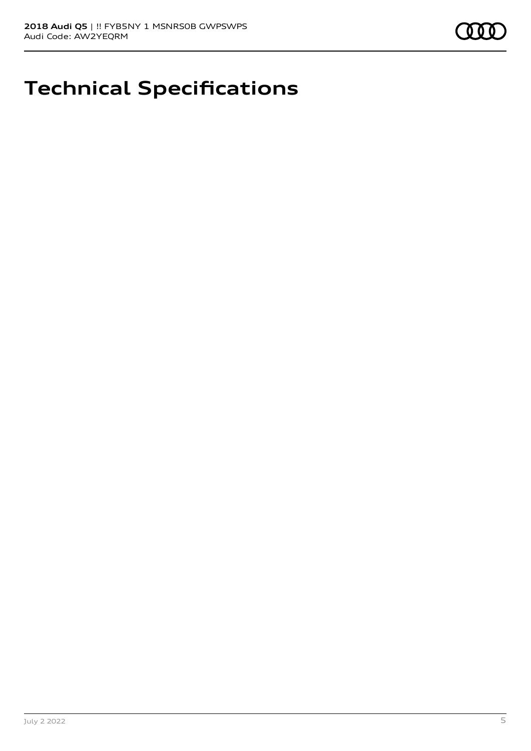

## **Technical Specifications**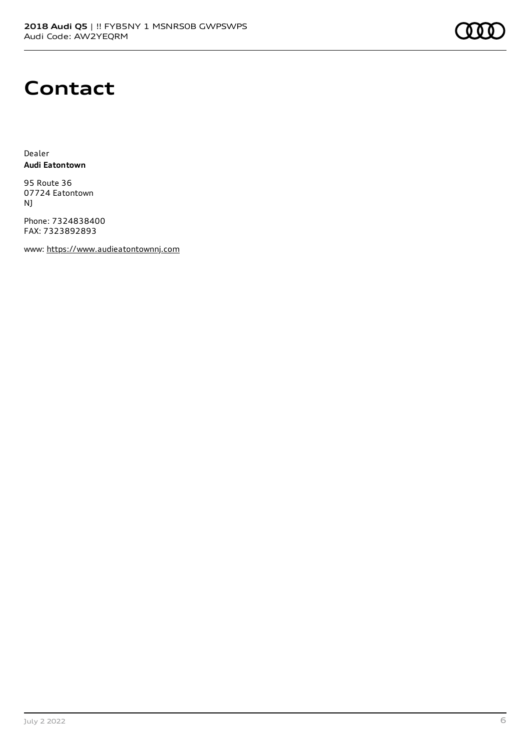#### **Contact**

Dealer **Audi Eatontown**

95 Route 36 07724 Eatontown NJ

Phone: 7324838400 FAX: 7323892893

www: [https://www.audieatontownnj.com](https://www.audieatontownnj.com/)